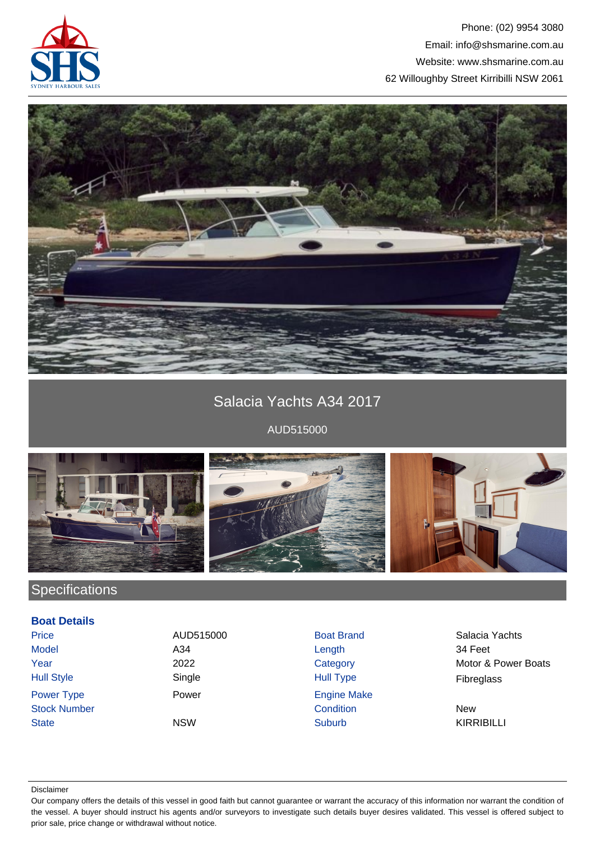

### Phone: (02) 9954 3080 Email: info@shsmarine.com.au Website: www.shsmarine.com.au 62 Willoughby Street Kirribilli NSW 2061



# Salacia Yachts A34 2017

AUD515000

![](_page_0_Picture_5.jpeg)

## **Specifications**

### **Boat Details**

| <b>Price</b>        | AUD515000  | <b>Boat Brand</b>  | Salacia Ya        |
|---------------------|------------|--------------------|-------------------|
| <b>Model</b>        | A34        | Length             | 34 Feet           |
| Year                | 2022       | Category           | Motor & Po        |
| <b>Hull Style</b>   | Single     | Hull Type          | Fibreglass        |
| <b>Power Type</b>   | Power      | <b>Engine Make</b> |                   |
| <b>Stock Number</b> |            | Condition          | <b>New</b>        |
| <b>State</b>        | <b>NSW</b> | <b>Suburb</b>      | <b>KIRRIBILLI</b> |

Power **Type Power Engine Make** 

AUD515000 Boat Brand Brand Salacia Yachts 2022 Category Category Motor & Power Boats

#### Disclaimer

Our company offers the details of this vessel in good faith but cannot guarantee or warrant the accuracy of this information nor warrant the condition of the vessel. A buyer should instruct his agents and/or surveyors to investigate such details buyer desires validated. This vessel is offered subject to prior sale, price change or withdrawal without notice.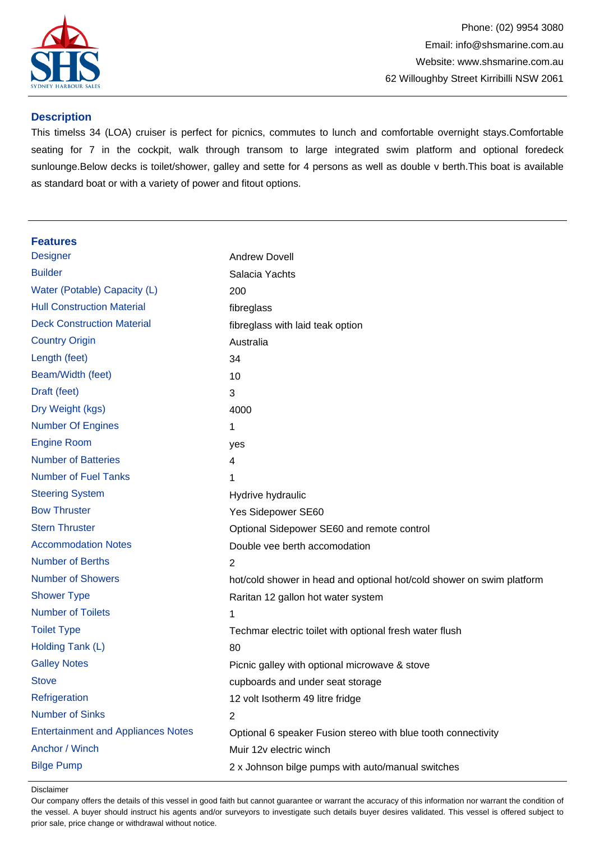![](_page_1_Picture_0.jpeg)

#### **Description**

This timelss 34 (LOA) cruiser is perfect for picnics, commutes to lunch and comfortable overnight stays.Comfortable seating for 7 in the cockpit, walk through transom to large integrated swim platform and optional foredeck sunlounge.Below decks is toilet/shower, galley and sette for 4 persons as well as double v berth.This boat is available as standard boat or with a variety of power and fitout options.

#### **Features**

| <b>Designer</b>                           | <b>Andrew Dovell</b>                                                  |
|-------------------------------------------|-----------------------------------------------------------------------|
| <b>Builder</b>                            | Salacia Yachts                                                        |
| Water (Potable) Capacity (L)              | 200                                                                   |
| <b>Hull Construction Material</b>         | fibreglass                                                            |
| <b>Deck Construction Material</b>         | fibreglass with laid teak option                                      |
| <b>Country Origin</b>                     | Australia                                                             |
| Length (feet)                             | 34                                                                    |
| Beam/Width (feet)                         | 10                                                                    |
| Draft (feet)                              | 3                                                                     |
| Dry Weight (kgs)                          | 4000                                                                  |
| <b>Number Of Engines</b>                  | 1                                                                     |
| <b>Engine Room</b>                        | yes                                                                   |
| <b>Number of Batteries</b>                | 4                                                                     |
| <b>Number of Fuel Tanks</b>               | 1                                                                     |
| <b>Steering System</b>                    | Hydrive hydraulic                                                     |
| <b>Bow Thruster</b>                       | Yes Sidepower SE60                                                    |
| <b>Stern Thruster</b>                     | Optional Sidepower SE60 and remote control                            |
| <b>Accommodation Notes</b>                | Double vee berth accomodation                                         |
| <b>Number of Berths</b>                   | 2                                                                     |
| <b>Number of Showers</b>                  | hot/cold shower in head and optional hot/cold shower on swim platform |
| <b>Shower Type</b>                        | Raritan 12 gallon hot water system                                    |
| <b>Number of Toilets</b>                  | 1                                                                     |
| <b>Toilet Type</b>                        | Techmar electric toilet with optional fresh water flush               |
| Holding Tank (L)                          | 80                                                                    |
| <b>Galley Notes</b>                       | Picnic galley with optional microwave & stove                         |
| <b>Stove</b>                              | cupboards and under seat storage                                      |
| Refrigeration                             | 12 volt Isotherm 49 litre fridge                                      |
| <b>Number of Sinks</b>                    | 2                                                                     |
| <b>Entertainment and Appliances Notes</b> | Optional 6 speaker Fusion stereo with blue tooth connectivity         |
| Anchor / Winch                            | Muir 12v electric winch                                               |
| <b>Bilge Pump</b>                         | 2 x Johnson bilge pumps with auto/manual switches                     |
|                                           |                                                                       |

Disclaimer

Our company offers the details of this vessel in good faith but cannot guarantee or warrant the accuracy of this information nor warrant the condition of the vessel. A buyer should instruct his agents and/or surveyors to investigate such details buyer desires validated. This vessel is offered subject to prior sale, price change or withdrawal without notice.